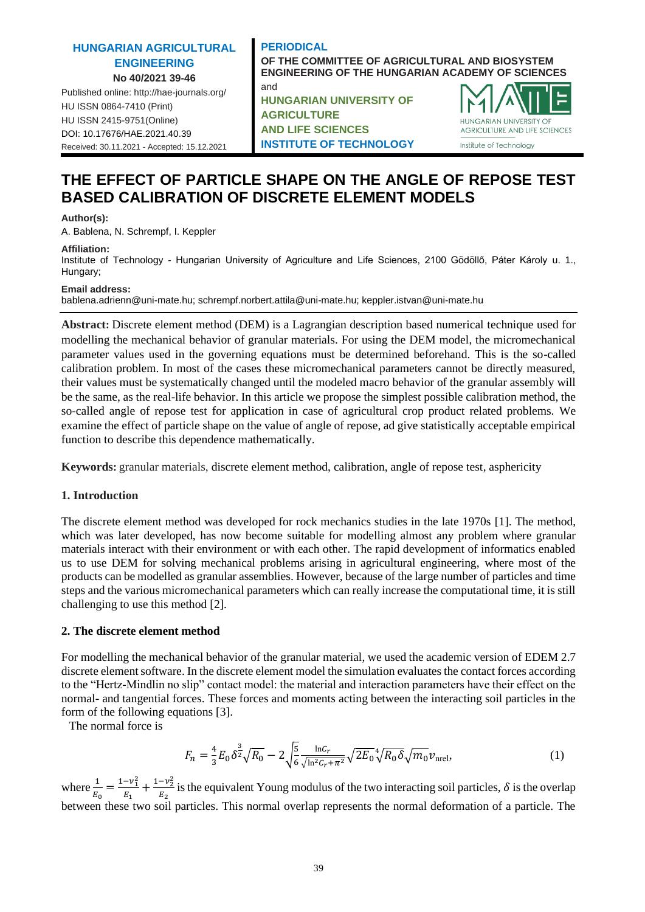# **HUNGARIAN AGRICULTURAL ENGINEERING No 40/2021 39-46**

Published online: http://hae-journals.org/ HU ISSN 0864-7410 (Print) HU ISSN 2415-9751(Online) [DOI: 10.17676/HAE.2021.40.39](https://doi.org/10.17676/HAE.2021.40.39) Received: 30.11.2021 - Accepted: 15.12.2021

# **PERIODICAL OF THE COMMITTEE OF AGRICULTURAL AND BIOSYSTEM ENGINEERING OF THE HUNGARIAN ACADEMY OF SCIENCES** and **HUNGARIAN UNIVERSITY OF**

**AGRICULTURE AND LIFE SCIENCES INSTITUTE OF TECHNOLOGY**



# **THE EFFECT OF PARTICLE SHAPE ON THE ANGLE OF REPOSE TEST BASED CALIBRATION OF DISCRETE ELEMENT MODELS**

## **Author(s):**

A. Bablena, N. Schrempf, I. Keppler

## **Affiliation:**

Institute of Technology - Hungarian University of Agriculture and Life Sciences, 2100 Gödöllő, Páter Károly u. 1., Hungary;

## **Email address:**

bablena.adrienn@uni-mate.hu; schrempf.norbert.attila@uni-mate.hu; keppler.istvan@uni-mate.hu

**Abstract:** Discrete element method (DEM) is a Lagrangian description based numerical technique used for modelling the mechanical behavior of granular materials. For using the DEM model, the micromechanical parameter values used in the governing equations must be determined beforehand. This is the so-called calibration problem. In most of the cases these micromechanical parameters cannot be directly measured, their values must be systematically changed until the modeled macro behavior of the granular assembly will be the same, as the real-life behavior. In this article we propose the simplest possible calibration method, the so-called angle of repose test for application in case of agricultural crop product related problems. We examine the effect of particle shape on the value of angle of repose, ad give statistically acceptable empirical function to describe this dependence mathematically.

**Keywords:** granular materials, discrete element method, calibration, angle of repose test, asphericity

# **1. Introduction**

The discrete element method was developed for rock mechanics studies in the late 1970s [1]. The method, which was later developed, has now become suitable for modelling almost any problem where granular materials interact with their environment or with each other. The rapid development of informatics enabled us to use DEM for solving mechanical problems arising in agricultural engineering, where most of the products can be modelled as granular assemblies. However, because of the large number of particles and time steps and the various micromechanical parameters which can really increase the computational time, it is still challenging to use this method [2].

# **2. The discrete element method**

For modelling the mechanical behavior of the granular material, we used the academic version of EDEM 2.7 discrete element software. In the discrete element model the simulation evaluates the contact forces according to the "Hertz-Mindlin no slip" contact model: the material and interaction parameters have their effect on the normal- and tangential forces. These forces and moments acting between the interacting soil particles in the form of the following equations [3].

The normal force is

$$
F_n = \frac{4}{3} E_0 \delta^{\frac{3}{2}} \sqrt{R_0} - 2 \sqrt{\frac{5}{6}} \frac{\ln c_r}{\sqrt{\ln^2 c_r + \pi^2}} \sqrt{2E_0}^4 \sqrt{R_0} \delta \sqrt{m_0} v_{\text{nrel}},\tag{1}
$$

where  $\frac{1}{E_0} = \frac{1 - v_1^2}{E_1}$  $\frac{-v_1^2}{E_1} + \frac{1-v_2^2}{E_2}$  $\frac{2-\nu_2}{E_2}$  is the equivalent Young modulus of the two interacting soil particles,  $\delta$  is the overlap between these two soil particles. This normal overlap represents the normal deformation of a particle. The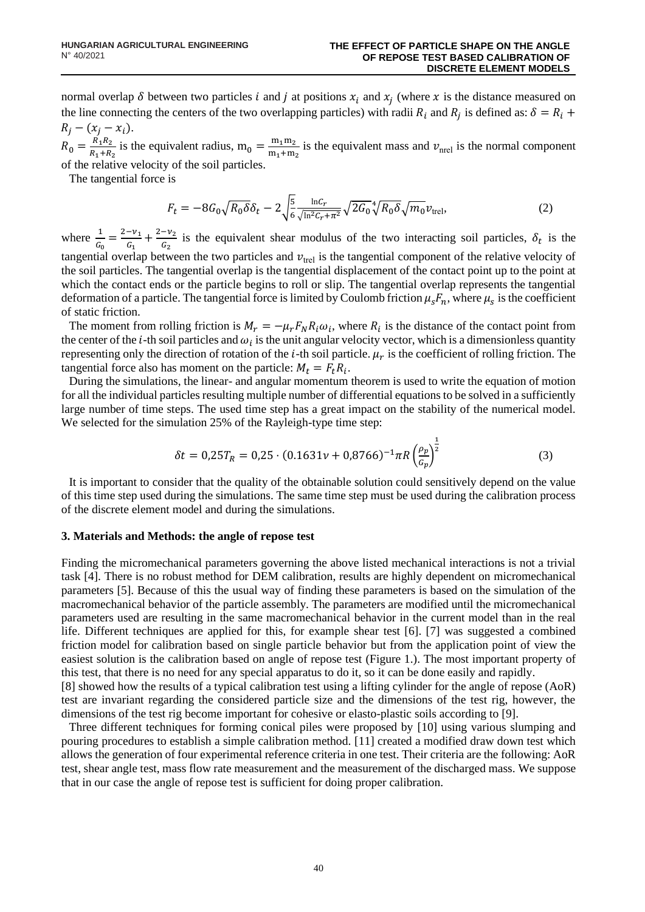normal overlap  $\delta$  between two particles i and j at positions  $x_i$  and  $x_j$  (where x is the distance measured on the line connecting the centers of the two overlapping particles) with radii  $R_i$  and  $R_j$  is defined as:  $\delta = R_i +$  $R_j - (x_j - x_i).$ 

 $R_0 = \frac{R_1 R_2}{R_1 + R_2}$  $\frac{R_1R_2}{R_1+R_2}$  is the equivalent radius,  $m_0 = \frac{m_1m_2}{m_1+m_2}$  $\frac{m_1m_2}{m_1+m_2}$  is the equivalent mass and  $v_{\text{nrel}}$  is the normal component of the relative velocity of the soil particles.

The tangential force is

$$
F_t = -8G_0 \sqrt{R_0 \delta} \delta_t - 2 \sqrt{\frac{5}{6} \frac{\ln C_r}{\sqrt{\ln^2 C_r + \pi^2}}} \sqrt{2G_0}^4 \sqrt{R_0 \delta} \sqrt{m_0} v_{\text{trel}},\tag{2}
$$

where  $\frac{1}{G_0} = \frac{2 - v_1}{G_1}$  $\frac{-v_1}{G_1} + \frac{2-v_2}{G_2}$  $\frac{-v_2}{c_2}$  is the equivalent shear modulus of the two interacting soil particles,  $\delta_t$  is the tangential overlap between the two particles and  $v_{\text{trel}}$  is the tangential component of the relative velocity of the soil particles. The tangential overlap is the tangential displacement of the contact point up to the point at which the contact ends or the particle begins to roll or slip. The tangential overlap represents the tangential deformation of a particle. The tangential force is limited by Coulomb friction  $\mu_s F_n$ , where  $\mu_s$  is the coefficient of static friction.

The moment from rolling friction is  $M_r = -\mu_r F_N R_i \omega_i$ , where  $R_i$  is the distance of the contact point from the center of the *i*-th soil particles and  $\omega_i$  is the unit angular velocity vector, which is a dimensionless quantity representing only the direction of rotation of the  $i$ -th soil particle.  $\mu_r$  is the coefficient of rolling friction. The tangential force also has moment on the particle:  $M_t = F_t R_i$ .

During the simulations, the linear- and angular momentum theorem is used to write the equation of motion for all the individual particles resulting multiple number of differential equations to be solved in a sufficiently large number of time steps. The used time step has a great impact on the stability of the numerical model. We selected for the simulation 25% of the Rayleigh-type time step:

$$
\delta t = 0.25T_R = 0.25 \cdot (0.1631\nu + 0.8766)^{-1} \pi R \left(\frac{\rho_p}{G_p}\right)^{\frac{1}{2}}
$$
(3)

It is important to consider that the quality of the obtainable solution could sensitively depend on the value of this time step used during the simulations. The same time step must be used during the calibration process of the discrete element model and during the simulations.

#### **3. Materials and Methods: the angle of repose test**

Finding the micromechanical parameters governing the above listed mechanical interactions is not a trivial task [4]. There is no robust method for DEM calibration, results are highly dependent on micromechanical parameters [5]. Because of this the usual way of finding these parameters is based on the simulation of the macromechanical behavior of the particle assembly. The parameters are modified until the micromechanical parameters used are resulting in the same macromechanical behavior in the current model than in the real life. Different techniques are applied for this, for example shear test [6]. [7] was suggested a combined friction model for calibration based on single particle behavior but from the application point of view the easiest solution is the calibration based on angle of repose test (Figure 1.). The most important property of this test, that there is no need for any special apparatus to do it, so it can be done easily and rapidly.

[8] showed how the results of a typical calibration test using a lifting cylinder for the angle of repose (AoR) test are invariant regarding the considered particle size and the dimensions of the test rig, however, the dimensions of the test rig become important for cohesive or elasto-plastic soils according to [9].

Three different techniques for forming conical piles were proposed by [10] using various slumping and pouring procedures to establish a simple calibration method. [11] created a modified draw down test which allows the generation of four experimental reference criteria in one test. Their criteria are the following: AoR test, shear angle test, mass flow rate measurement and the measurement of the discharged mass. We suppose that in our case the angle of repose test is sufficient for doing proper calibration.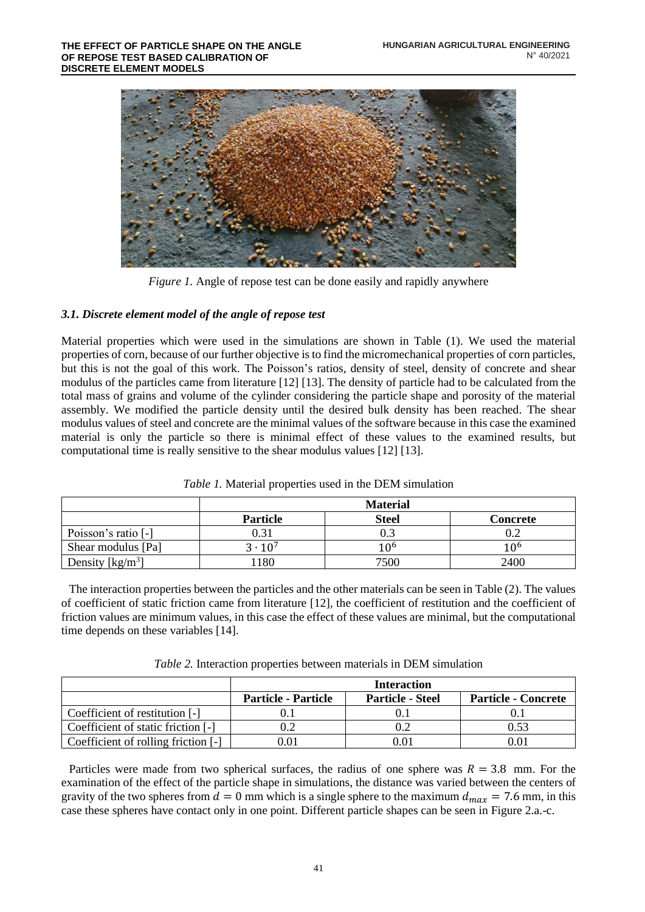

*Figure 1.* Angle of repose test can be done easily and rapidly anywhere

# *3.1. Discrete element model of the angle of repose test*

Material properties which were used in the simulations are shown in Table (1). We used the material properties of corn, because of our further objective is to find the micromechanical properties of corn particles, but this is not the goal of this work. The Poisson's ratios, density of steel, density of concrete and shear modulus of the particles came from literature [12] [13]. The density of particle had to be calculated from the total mass of grains and volume of the cylinder considering the particle shape and porosity of the material assembly. We modified the particle density until the desired bulk density has been reached. The shear modulus values of steel and concrete are the minimal values of the software because in this case the examined material is only the particle so there is minimal effect of these values to the examined results, but computational time is really sensitive to the shear modulus values [12] [13].

|                     | <b>Material</b>  |              |          |  |
|---------------------|------------------|--------------|----------|--|
|                     | Particle         | <b>Steel</b> | Concrete |  |
| Poisson's ratio [-] |                  |              | 0.2      |  |
| Shear modulus [Pa]  | $3 \cdot 10^{7}$ | 1 ႐6         | 1 ი 6    |  |
| Density $[kg/m3]$   | 180              | 7500         | 2400     |  |

# *Table 1.* Material properties used in the DEM simulation

The interaction properties between the particles and the other materials can be seen in Table (2). The values of coefficient of static friction came from literature [12], the coefficient of restitution and the coefficient of friction values are minimum values, in this case the effect of these values are minimal, but the computational time depends on these variables [14].

| Table 2. Interaction properties between materials in DEM simulation |  |  |  |
|---------------------------------------------------------------------|--|--|--|
|                                                                     |  |  |  |

|                                     | <b>Interaction</b>         |                         |                            |  |
|-------------------------------------|----------------------------|-------------------------|----------------------------|--|
|                                     | <b>Particle - Particle</b> | <b>Particle - Steel</b> | <b>Particle - Concrete</b> |  |
| Coefficient of restitution [-]      |                            |                         |                            |  |
| Coefficient of static friction [-]  |                            |                         | 0.53                       |  |
| Coefficient of rolling friction [-] |                            | 0.01                    |                            |  |

Particles were made from two spherical surfaces, the radius of one sphere was  $R = 3.8$  mm. For the examination of the effect of the particle shape in simulations, the distance was varied between the centers of gravity of the two spheres from  $d = 0$  mm which is a single sphere to the maximum  $d_{max} = 7.6$  mm, in this case these spheres have contact only in one point. Different particle shapes can be seen in Figure 2.a.-c.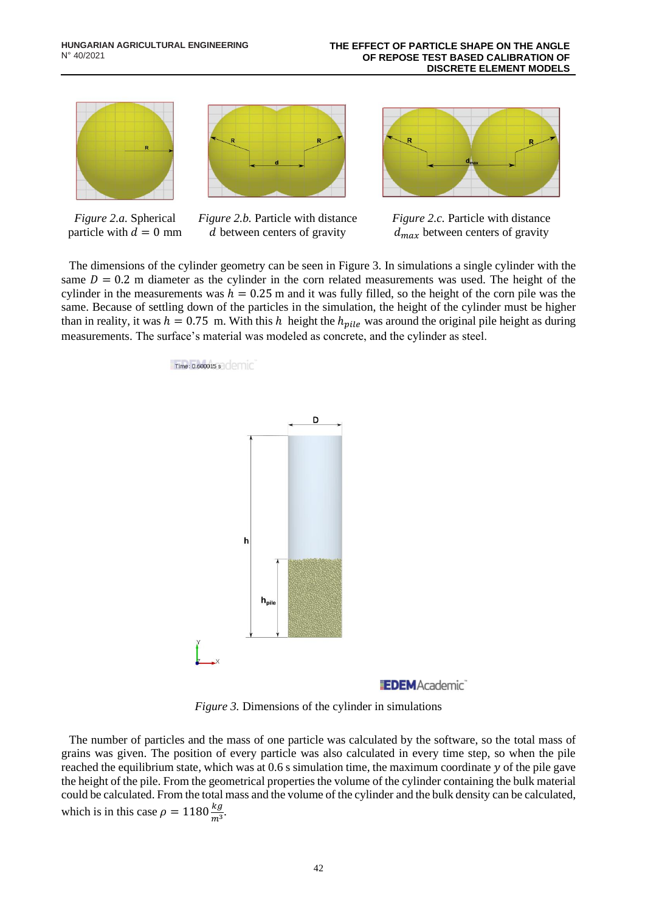

*Figure 2.a.* Spherical particle with  $d = 0$  mm



*Figure 2.b.* Particle with distance d between centers of gravity *Figure 2.c.* Particle with distance  $d_{max}$  between centers of gravity

The dimensions of the cylinder geometry can be seen in Figure 3. In simulations a single cylinder with the same  $D = 0.2$  m diameter as the cylinder in the corn related measurements was used. The height of the cylinder in the measurements was  $h = 0.25$  m and it was fully filled, so the height of the corn pile was the same. Because of settling down of the particles in the simulation, the height of the cylinder must be higher than in reality, it was  $h = 0.75$  m. With this h height the  $h_{pile}$  was around the original pile height as during measurements. The surface's material was modeled as concrete, and the cylinder as steel.

Time: 0.600015 s



*Figure 3.* Dimensions of the cylinder in simulations

The number of particles and the mass of one particle was calculated by the software, so the total mass of grains was given. The position of every particle was also calculated in every time step, so when the pile reached the equilibrium state, which was at  $0.6$  s simulation time, the maximum coordinate  $y$  of the pile gave the height of the pile. From the geometrical properties the volume of the cylinder containing the bulk material could be calculated. From the total mass and the volume of the cylinder and the bulk density can be calculated, which is in this case  $\rho = 1180 \frac{kg}{m^3}$ .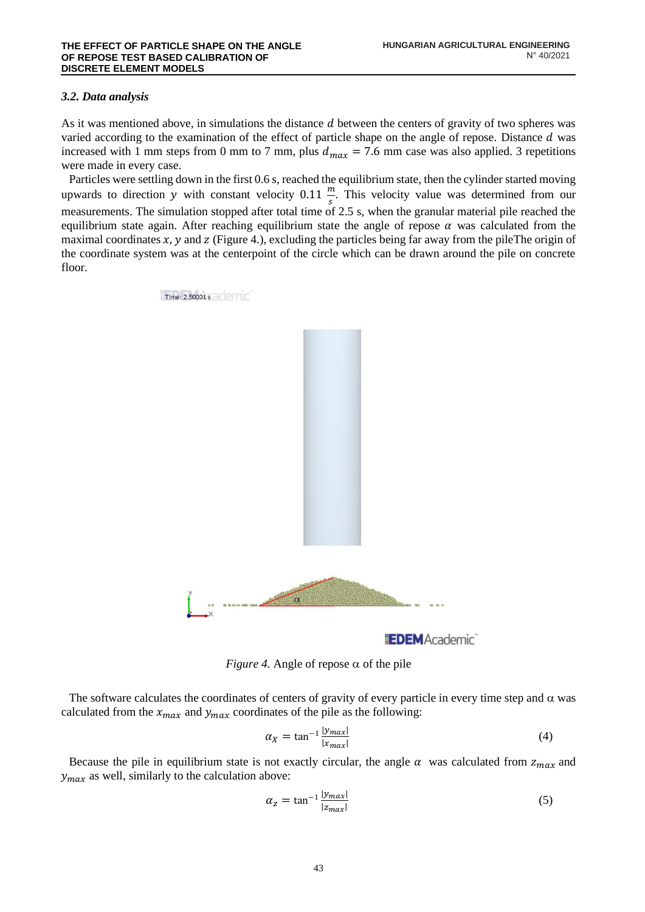# *3.2. Data analysis*

As it was mentioned above, in simulations the distance  $d$  between the centers of gravity of two spheres was varied according to the examination of the effect of particle shape on the angle of repose. Distance  $d$  was increased with 1 mm steps from 0 mm to 7 mm, plus  $d_{max} = 7.6$  mm case was also applied. 3 repetitions were made in every case.

Particles were settling down in the first 0.6 s, reached the equilibrium state, then the cylinder started moving upwards to direction y with constant velocity 0.11  $\frac{m}{s}$ . This velocity value was determined from our measurements. The simulation stopped after total time of 2.5 s, when the granular material pile reached the equilibrium state again. After reaching equilibrium state the angle of repose  $\alpha$  was calculated from the maximal coordinates  $x$ ,  $y$  and  $z$  (Figure 4.), excluding the particles being far away from the pileThe origin of the coordinate system was at the centerpoint of the circle which can be drawn around the pile on concrete floor.



*Figure 4.* Angle of repose  $\alpha$  of the pile

The software calculates the coordinates of centers of gravity of every particle in every time step and  $\alpha$  was calculated from the  $x_{max}$  and  $y_{max}$  coordinates of the pile as the following:

$$
\alpha_X = \tan^{-1} \frac{|y_{max}|}{|x_{max}|}
$$
 (4)

Because the pile in equilibrium state is not exactly circular, the angle  $\alpha$  was calculated from  $z_{max}$  and  $y_{max}$  as well, similarly to the calculation above:

$$
\alpha_{z} = \tan^{-1} \frac{|y_{max}|}{|z_{max}|}
$$
 (5)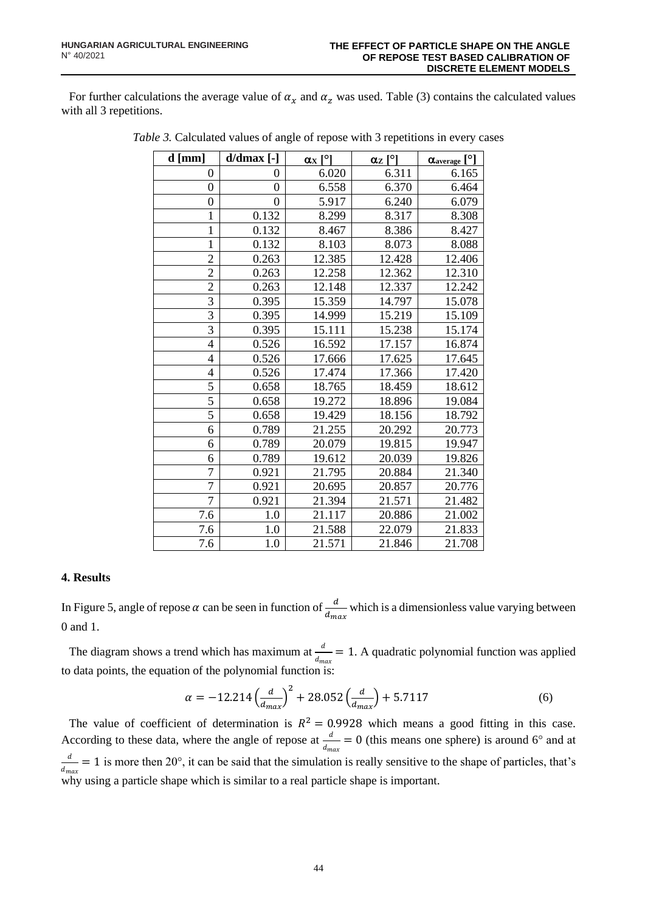For further calculations the average value of  $\alpha_x$  and  $\alpha_z$  was used. Table (3) contains the calculated values with all 3 repetitions.

| $d$ [mm]       | $d/dmax$ [-]   | $\alpha$ <sub>X</sub> $\lceil$ <sup>o</sup> l | $\underline{\alpha}_{Z}$ [°] | $\alpha_{\text{average}}$ [°] |
|----------------|----------------|-----------------------------------------------|------------------------------|-------------------------------|
| 0              | 0              | 6.020                                         | 6.311                        | 6.165                         |
| $\overline{0}$ | $\overline{0}$ | 6.558                                         | 6.370                        | 6.464                         |
| $\overline{0}$ | $\overline{0}$ | 5.917                                         | 6.240                        | 6.079                         |
| 1              | 0.132          | 8.299                                         | 8.317                        | 8.308                         |
| $\mathbf{1}$   | 0.132          | 8.467                                         | 8.386                        | 8.427                         |
| $\mathbf{1}$   | 0.132          | 8.103                                         | 8.073                        | 8.088                         |
| $\overline{2}$ | 0.263          | 12.385                                        | 12.428                       | 12.406                        |
| $\overline{c}$ | 0.263          | 12.258                                        | 12.362                       | 12.310                        |
| $\overline{2}$ | 0.263          | 12.148                                        | 12.337                       | 12.242                        |
| $\overline{3}$ | 0.395          | 15.359                                        | 14.797                       | 15.078                        |
| $\overline{3}$ | 0.395          | 14.999                                        | 15.219                       | 15.109                        |
| 3              | 0.395          | 15.111                                        | 15.238                       | 15.174                        |
| $\overline{4}$ | 0.526          | 16.592                                        | 17.157                       | 16.874                        |
| 4              | 0.526          | 17.666                                        | 17.625                       | 17.645                        |
| $\overline{4}$ | 0.526          | 17.474                                        | 17.366                       | 17.420                        |
| 5              | 0.658          | 18.765                                        | 18.459                       | 18.612                        |
| $\overline{5}$ | 0.658          | 19.272                                        | 18.896                       | 19.084                        |
| $\overline{5}$ | 0.658          | 19.429                                        | 18.156                       | 18.792                        |
| 6              | 0.789          | 21.255                                        | 20.292                       | 20.773                        |
| 6              | 0.789          | 20.079                                        | 19.815                       | 19.947                        |
| 6              | 0.789          | 19.612                                        | 20.039                       | 19.826                        |
| $\overline{7}$ | 0.921          | 21.795                                        | 20.884                       | 21.340                        |
| $\overline{7}$ | 0.921          | 20.695                                        | 20.857                       | 20.776                        |
| $\overline{7}$ | 0.921          | 21.394                                        | 21.571                       | 21.482                        |
| 7.6            | 1.0            | 21.117                                        | 20.886                       | 21.002                        |
| 7.6            | 1.0            | 21.588                                        | 22.079                       | 21.833                        |
| 7.6            | 1.0            | 21.571                                        | 21.846                       | 21.708                        |

*Table 3.* Calculated values of angle of repose with 3 repetitions in every cases

# **4. Results**

In Figure 5, angle of repose  $\alpha$  can be seen in function of  $\frac{d}{d_{max}}$  which is a dimensionless value varying between 0 and 1.

The diagram shows a trend which has maximum at  $\frac{d}{d_{max}} = 1$ . A quadratic polynomial function was applied to data points, the equation of the polynomial function is:

$$
\alpha = -12.214 \left(\frac{d}{d_{max}}\right)^2 + 28.052 \left(\frac{d}{d_{max}}\right) + 5.7117\tag{6}
$$

The value of coefficient of determination is  $R^2 = 0.9928$  which means a good fitting in this case. According to these data, where the angle of repose at  $\frac{d}{d_{max}} = 0$  (this means one sphere) is around 6° and at d  $\frac{u}{d_{max}} = 1$  is more then 20°, it can be said that the simulation is really sensitive to the shape of particles, that's why using a particle shape which is similar to a real particle shape is important.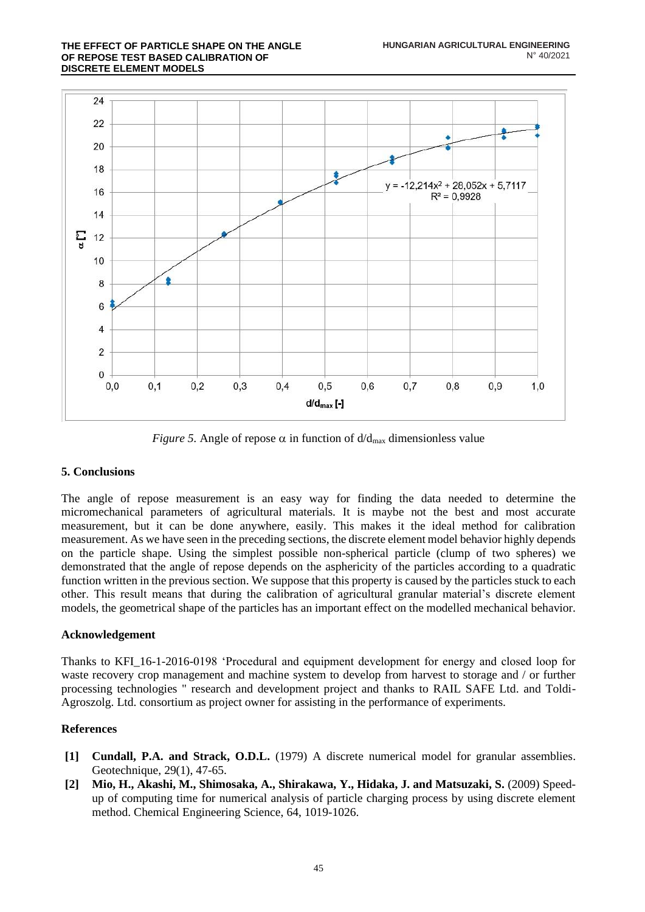

*Figure 5.* Angle of repose  $\alpha$  in function of  $d/d_{\text{max}}$  dimensionless value

# **5. Conclusions**

The angle of repose measurement is an easy way for finding the data needed to determine the micromechanical parameters of agricultural materials. It is maybe not the best and most accurate measurement, but it can be done anywhere, easily. This makes it the ideal method for calibration measurement. As we have seen in the preceding sections, the discrete element model behavior highly depends on the particle shape. Using the simplest possible non-spherical particle (clump of two spheres) we demonstrated that the angle of repose depends on the asphericity of the particles according to a quadratic function written in the previous section. We suppose that this property is caused by the particles stuck to each other. This result means that during the calibration of agricultural granular material's discrete element models, the geometrical shape of the particles has an important effect on the modelled mechanical behavior.

# **Acknowledgement**

Thanks to KFI\_16-1-2016-0198 'Procedural and equipment development for energy and closed loop for waste recovery crop management and machine system to develop from harvest to storage and / or further processing technologies " research and development project and thanks to RAIL SAFE Ltd. and Toldi-Agroszolg. Ltd. consortium as project owner for assisting in the performance of experiments.

# **References**

- **[1] Cundall, P.A. and Strack, O.D.L.** (1979) A discrete numerical model for granular assemblies. Geotechnique, 29(1), 47-65.
- **[2] Mio, H., Akashi, M., Shimosaka, A., Shirakawa, Y., Hidaka, J. and Matsuzaki, S.** (2009) Speedup of computing time for numerical analysis of particle charging process by using discrete element method. Chemical Engineering Science, 64, 1019-1026.